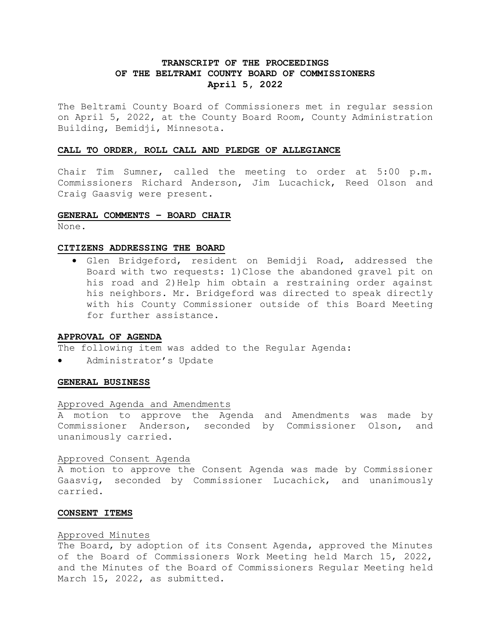# **TRANSCRIPT OF THE PROCEEDINGS OF THE BELTRAMI COUNTY BOARD OF COMMISSIONERS April 5, 2022**

The Beltrami County Board of Commissioners met in regular session on April 5, 2022, at the County Board Room, County Administration Building, Bemidji, Minnesota.

### **CALL TO ORDER, ROLL CALL AND PLEDGE OF ALLEGIANCE**

Chair Tim Sumner, called the meeting to order at 5:00 p.m. Commissioners Richard Anderson, Jim Lucachick, Reed Olson and Craig Gaasvig were present.

### **GENERAL COMMENTS – BOARD CHAIR**

None.

#### **CITIZENS ADDRESSING THE BOARD**

• Glen Bridgeford, resident on Bemidji Road, addressed the Board with two requests: 1)Close the abandoned gravel pit on his road and 2) Help him obtain a restraining order against his neighbors. Mr. Bridgeford was directed to speak directly with his County Commissioner outside of this Board Meeting for further assistance.

## **APPROVAL OF AGENDA**

The following item was added to the Regular Agenda:

Administrator's Update

#### **GENERAL BUSINESS**

## Approved Agenda and Amendments

A motion to approve the Agenda and Amendments was made by Commissioner Anderson, seconded by Commissioner Olson, and unanimously carried.

### Approved Consent Agenda

A motion to approve the Consent Agenda was made by Commissioner Gaasvig, seconded by Commissioner Lucachick, and unanimously carried.

### **CONSENT ITEMS**

#### Approved Minutes

The Board, by adoption of its Consent Agenda, approved the Minutes of the Board of Commissioners Work Meeting held March 15, 2022, and the Minutes of the Board of Commissioners Regular Meeting held March 15, 2022, as submitted.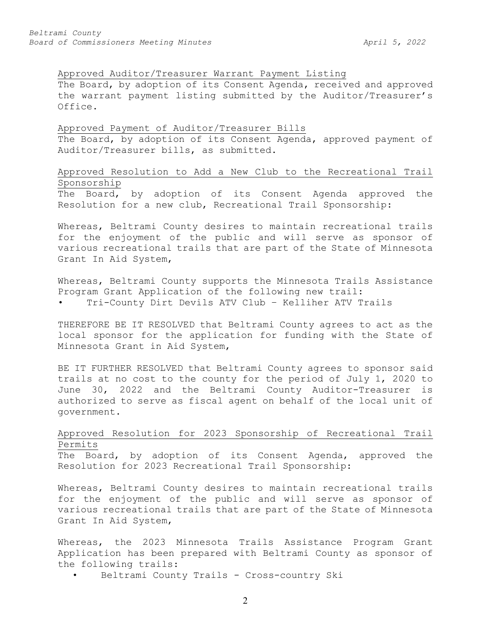## Approved Auditor/Treasurer Warrant Payment Listing

The Board, by adoption of its Consent Agenda, received and approved the warrant payment listing submitted by the Auditor/Treasurer's Office.

# Approved Payment of Auditor/Treasurer Bills The Board, by adoption of its Consent Agenda, approved payment of Auditor/Treasurer bills, as submitted.

Approved Resolution to Add a New Club to the Recreational Trail Sponsorship

The Board, by adoption of its Consent Agenda approved the Resolution for a new club, Recreational Trail Sponsorship:

Whereas, Beltrami County desires to maintain recreational trails for the enjoyment of the public and will serve as sponsor of various recreational trails that are part of the State of Minnesota Grant In Aid System,

Whereas, Beltrami County supports the Minnesota Trails Assistance Program Grant Application of the following new trail:

Tri-County Dirt Devils ATV Club - Kelliher ATV Trails

THEREFORE BE IT RESOLVED that Beltrami County agrees to act as the local sponsor for the application for funding with the State of Minnesota Grant in Aid System,

BE IT FURTHER RESOLVED that Beltrami County agrees to sponsor said trails at no cost to the county for the period of July 1, 2020 to June 30, 2022 and the Beltrami County Auditor-Treasurer is authorized to serve as fiscal agent on behalf of the local unit of government.

# Approved Resolution for 2023 Sponsorship of Recreational Trail Permits

The Board, by adoption of its Consent Agenda, approved the Resolution for 2023 Recreational Trail Sponsorship:

Whereas, Beltrami County desires to maintain recreational trails for the enjoyment of the public and will serve as sponsor of various recreational trails that are part of the State of Minnesota Grant In Aid System,

Whereas, the 2023 Minnesota Trails Assistance Program Grant Application has been prepared with Beltrami County as sponsor of the following trails:

Beltrami County Trails - Cross-country Ski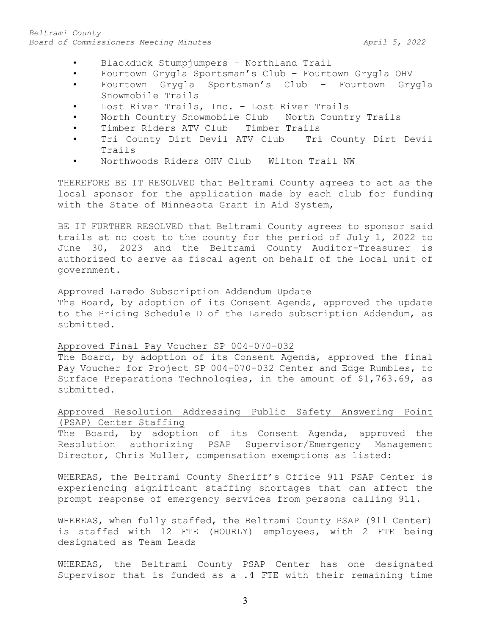- Blackduck Stumpjumpers Northland Trail
- Fourtown Grygla Sportsman's Club Fourtown Grygla OHV
- Fourtown Grygla Sportsman's Club Fourtown Grygla Snowmobile Trails
- Lost River Trails, Inc. Lost River Trails
- North Country Snowmobile Club North Country Trails
- Timber Riders ATV Club Timber Trails
- Tri County Dirt Devil ATV Club Tri County Dirt Devil Trails
- Northwoods Riders OHV Club Wilton Trail NW

THEREFORE BE IT RESOLVED that Beltrami County agrees to act as the local sponsor for the application made by each club for funding with the State of Minnesota Grant in Aid System,

BE IT FURTHER RESOLVED that Beltrami County agrees to sponsor said trails at no cost to the county for the period of July 1, 2022 to June 30, 2023 and the Beltrami County Auditor-Treasurer is authorized to serve as fiscal agent on behalf of the local unit of government.

## Approved Laredo Subscription Addendum Update

The Board, by adoption of its Consent Agenda, approved the update to the Pricing Schedule D of the Laredo subscription Addendum, as submitted.

# Approved Final Pay Voucher SP 004-070-032

The Board, by adoption of its Consent Agenda, approved the final Pay Voucher for Project SP 004-070-032 Center and Edge Rumbles, to Surface Preparations Technologies, in the amount of \$1,763.69, as submitted.

# Approved Resolution Addressing Public Safety Answering Point (PSAP) Center Staffing

The Board, by adoption of its Consent Agenda, approved the Resolution authorizing PSAP Supervisor/Emergency Management Director, Chris Muller, compensation exemptions as listed:

WHEREAS, the Beltrami County Sheriff's Office 911 PSAP Center is experiencing significant staffing shortages that can affect the prompt response of emergency services from persons calling 911.

WHEREAS, when fully staffed, the Beltrami County PSAP (911 Center) is staffed with 12 FTE (HOURLY) employees, with 2 FTE being designated as Team Leads

WHEREAS, the Beltrami County PSAP Center has one designated Supervisor that is funded as a .4 FTE with their remaining time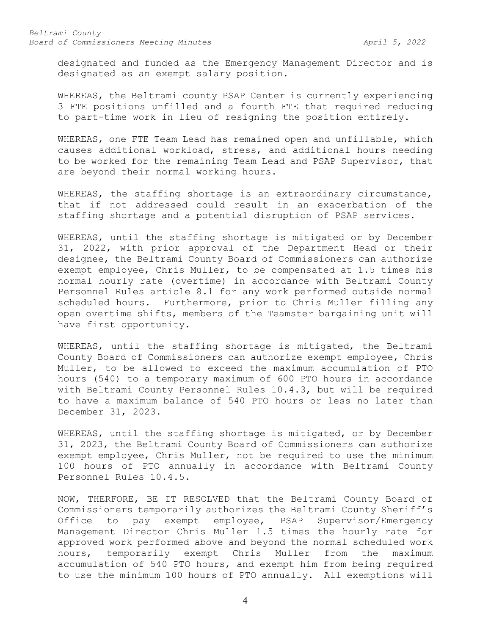designated and funded as the Emergency Management Director and is designated as an exempt salary position.

WHEREAS, the Beltrami county PSAP Center is currently experiencing 3 FTE positions unfilled and a fourth FTE that required reducing to part-time work in lieu of resigning the position entirely.

WHEREAS, one FTE Team Lead has remained open and unfillable, which causes additional workload, stress, and additional hours needing to be worked for the remaining Team Lead and PSAP Supervisor, that are beyond their normal working hours.

WHEREAS, the staffing shortage is an extraordinary circumstance, that if not addressed could result in an exacerbation of the staffing shortage and a potential disruption of PSAP services.

WHEREAS, until the staffing shortage is mitigated or by December 31, 2022, with prior approval of the Department Head or their designee, the Beltrami County Board of Commissioners can authorize exempt employee, Chris Muller, to be compensated at 1.5 times his normal hourly rate (overtime) in accordance with Beltrami County Personnel Rules article 8.1 for any work performed outside normal scheduled hours. Furthermore, prior to Chris Muller filling any open overtime shifts, members of the Teamster bargaining unit will have first opportunity.

WHEREAS, until the staffing shortage is mitigated, the Beltrami County Board of Commissioners can authorize exempt employee, Chris Muller, to be allowed to exceed the maximum accumulation of PTO hours (540) to a temporary maximum of 600 PTO hours in accordance with Beltrami County Personnel Rules 10.4.3, but will be required to have a maximum balance of 540 PTO hours or less no later than December 31, 2023.

WHEREAS, until the staffing shortage is mitigated, or by December 31, 2023, the Beltrami County Board of Commissioners can authorize exempt employee, Chris Muller, not be required to use the minimum 100 hours of PTO annually in accordance with Beltrami County Personnel Rules 10.4.5.

NOW, THERFORE, BE IT RESOLVED that the Beltrami County Board of Commissioners temporarily authorizes the Beltrami County Sheriff's Office to pay exempt employee, PSAP Supervisor/Emergency Management Director Chris Muller 1.5 times the hourly rate for approved work performed above and beyond the normal scheduled work hours, temporarily exempt Chris Muller from the maximum accumulation of 540 PTO hours, and exempt him from being required to use the minimum 100 hours of PTO annually. All exemptions will

4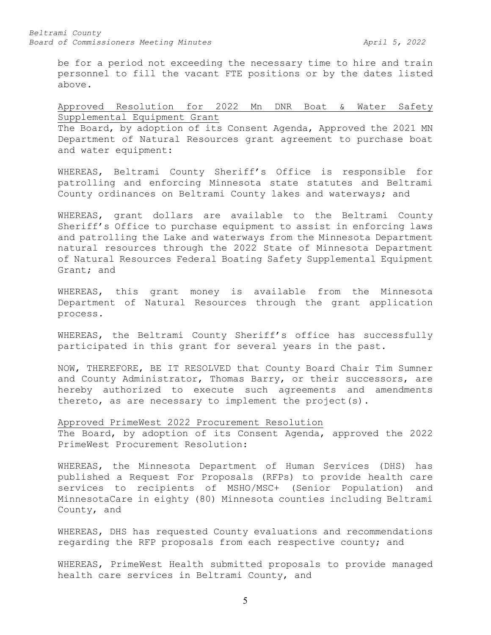*Beltrami County* Board of Commissioners Meeting Minutes **April 5, 2022** 

be for a period not exceeding the necessary time to hire and train personnel to fill the vacant FTE positions or by the dates listed above.

Approved Resolution for 2022 Mn DNR Boat & Water Safety Supplemental Equipment Grant

The Board, by adoption of its Consent Agenda, Approved the 2021 MN Department of Natural Resources grant agreement to purchase boat and water equipment:

WHEREAS, Beltrami County Sheriff's Office is responsible for patrolling and enforcing Minnesota state statutes and Beltrami County ordinances on Beltrami County lakes and waterways; and

WHEREAS, grant dollars are available to the Beltrami County Sheriff's Office to purchase equipment to assist in enforcing laws and patrolling the Lake and waterways from the Minnesota Department natural resources through the 2022 State of Minnesota Department of Natural Resources Federal Boating Safety Supplemental Equipment Grant; and

WHEREAS, this grant money is available from the Minnesota Department of Natural Resources through the grant application process.

WHEREAS, the Beltrami County Sheriff's office has successfully participated in this grant for several years in the past.

NOW, THEREFORE, BE IT RESOLVED that County Board Chair Tim Sumner and County Administrator, Thomas Barry, or their successors, are hereby authorized to execute such agreements and amendments thereto, as are necessary to implement the project(s).

Approved PrimeWest 2022 Procurement Resolution

The Board, by adoption of its Consent Agenda, approved the 2022 PrimeWest Procurement Resolution:

WHEREAS, the Minnesota Department of Human Services (DHS) has published a Request For Proposals (RFPs) to provide health care services to recipients of MSHO/MSC+ (Senior Population) and MinnesotaCare in eighty (80) Minnesota counties including Beltrami County, and

WHEREAS, DHS has requested County evaluations and recommendations regarding the RFP proposals from each respective county; and

WHEREAS, PrimeWest Health submitted proposals to provide managed health care services in Beltrami County, and

5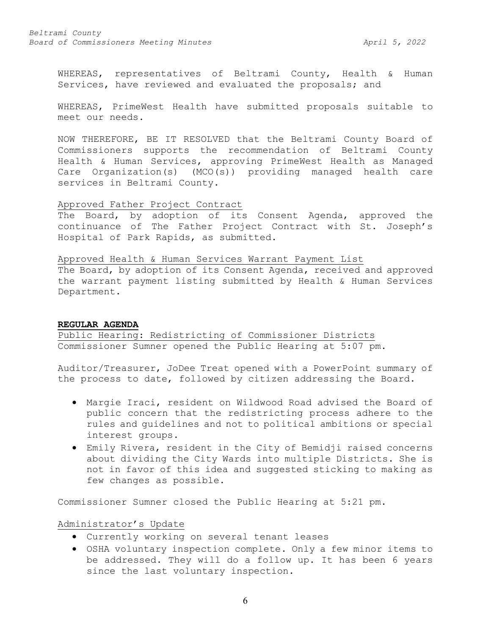WHEREAS, representatives of Beltrami County, Health & Human Services, have reviewed and evaluated the proposals; and

WHEREAS, PrimeWest Health have submitted proposals suitable to meet our needs.

NOW THEREFORE, BE IT RESOLVED that the Beltrami County Board of Commissioners supports the recommendation of Beltrami County Health & Human Services, approving PrimeWest Health as Managed Care Organization(s) (MCO(s)) providing managed health care services in Beltrami County.

## Approved Father Project Contract

The Board, by adoption of its Consent Agenda, approved the continuance of The Father Project Contract with St. Joseph's Hospital of Park Rapids, as submitted.

Approved Health & Human Services Warrant Payment List The Board, by adoption of its Consent Agenda, received and approved the warrant payment listing submitted by Health & Human Services Department.

## **REGULAR AGENDA**

Public Hearing: Redistricting of Commissioner Districts Commissioner Sumner opened the Public Hearing at 5:07 pm.

Auditor/Treasurer, JoDee Treat opened with a PowerPoint summary of the process to date, followed by citizen addressing the Board.

- Margie Iraci, resident on Wildwood Road advised the Board of public concern that the redistricting process adhere to the rules and guidelines and not to political ambitions or special interest groups.
- Emily Rivera, resident in the City of Bemidji raised concerns about dividing the City Wards into multiple Districts. She is not in favor of this idea and suggested sticking to making as few changes as possible.

Commissioner Sumner closed the Public Hearing at 5:21 pm.

Administrator's Update

- Currently working on several tenant leases
- OSHA voluntary inspection complete. Only a few minor items to be addressed. They will do a follow up. It has been 6 years since the last voluntary inspection.